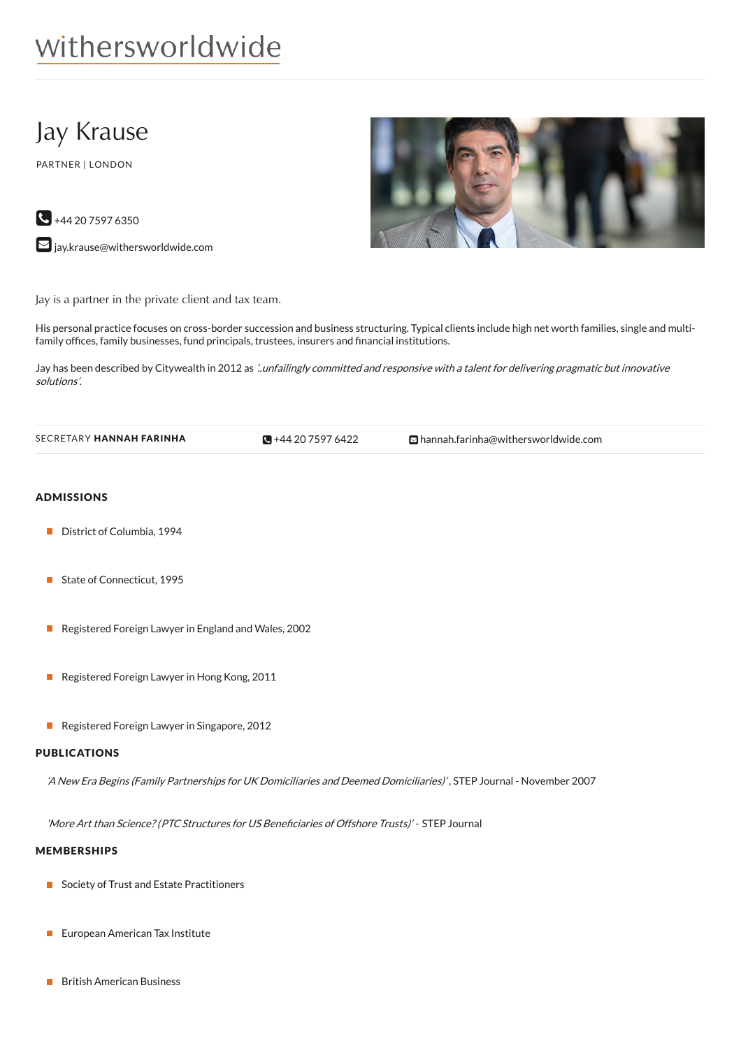# withersworldwide

# Jay Krause

PARTNER | LONDON

 $\bigodot$  +44 20 7597 6350

 $\blacktriangleright$  [jay.krause@withersworldwide.com](mailto:jay.krause@withersworldwide.com?subject=Website Enquiry - Profile Page)



Jay is a partner in the private client and tax team.

His personal practice focuses on cross-border succession and business structuring. Typical clients include high net worth families, single and multifamily offices, family businesses, fund principals, trustees, insurers and financial institutions.

Jay has been described by Citywealth in 2012 as '.unfailingly committed and responsive with a talent for delivering pragmatic but innovative solutions'.

| SECRETARY HANNAH FARINHA | $\Box + 442075976422$ | ⊡ hannah.farinha@withersworldwide.com |
|--------------------------|-----------------------|---------------------------------------|
|--------------------------|-----------------------|---------------------------------------|

### ADMISSIONS

- District of Columbia, 1994
- State of Connecticut, 1995
- Registered Foreign Lawyer in England and Wales, 2002  $\mathbf{L}$
- Registered Foreign Lawyer in Hong Kong, 2011
- Registered Foreign Lawyer in Singapore, 2012

#### PUBLICATIONS

'A New Era Begins (Family Partnerships for UK Domiciliaries and Deemed Domiciliaries)' , STEP Journal - November 2007

'More Art than Science? (PTC Structures for US Beneficiaries of Offshore Trusts)' - STEP Journal

#### MEMBERSHIPS

- Society of Trust and Estate Practitioners
- **European American Tax Institute**
- British American Business